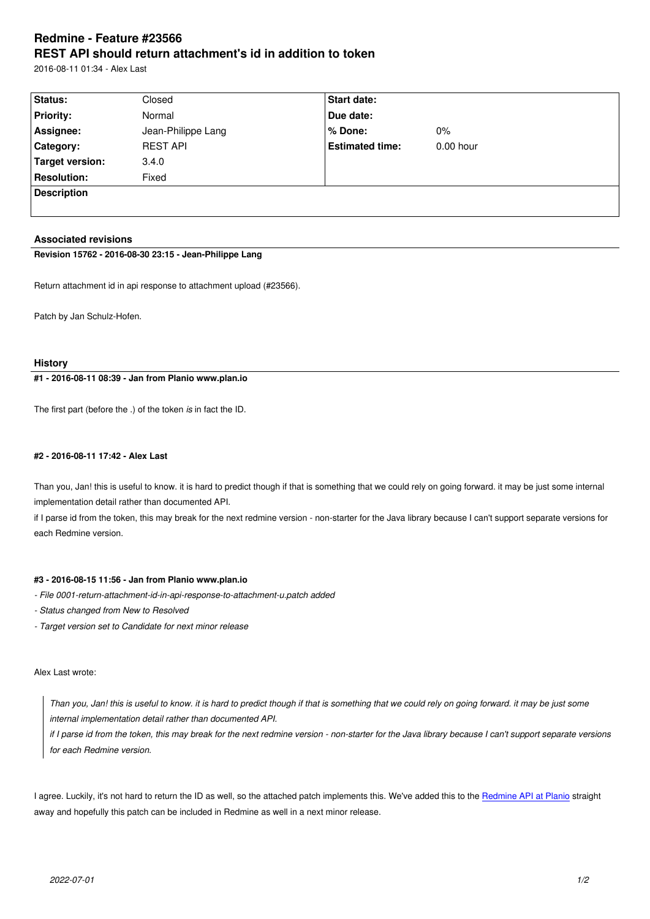#### **REST API should return attachment's id in addition to token**

2016-08-11 01:34 - Alex Last

| Status:            | Closed             | <b>Start date:</b>     |             |  |
|--------------------|--------------------|------------------------|-------------|--|
| <b>Priority:</b>   | Normal             | Due date:              |             |  |
| Assignee:          | Jean-Philippe Lang | % Done:                | $0\%$       |  |
| <b>Category:</b>   | <b>REST API</b>    | <b>Estimated time:</b> | $0.00$ hour |  |
| Target version:    | 3.4.0              |                        |             |  |
| <b>Resolution:</b> | Fixed              |                        |             |  |
| <b>Description</b> |                    |                        |             |  |
|                    |                    |                        |             |  |

# **Associated revisions**

**Revision 15762 - 2016-08-30 23:15 - Jean-Philippe Lang**

Return attachment id in api response to attachment upload (#23566).

Patch by Jan Schulz-Hofen.

# **History**

# **#1 - 2016-08-11 08:39 - Jan from Planio www.plan.io**

The first part (before the .) of the token *is* in fact the ID.

# **#2 - 2016-08-11 17:42 - Alex Last**

Than you, Jan! this is useful to know. it is hard to predict though if that is something that we could rely on going forward. it may be just some internal implementation detail rather than documented API.

if I parse id from the token, this may break for the next redmine version - non-starter for the Java library because I can't support separate versions for each Redmine version.

### **#3 - 2016-08-15 11:56 - Jan from Planio www.plan.io**

- *File 0001-return-attachment-id-in-api-response-to-attachment-u.patch added*
- *Status changed from New to Resolved*
- *Target version set to Candidate for next minor release*

# Alex Last wrote:

*Than you, Jan! this is useful to know. it is hard to predict though if that is something that we could rely on going forward. it may be just some internal implementation detail rather than documented API.*

*if I parse id from the token, this may break for the next redmine version - non-starter for the Java library because I can't support separate versions for each Redmine version.*

I agree. Luckily, it's not hard to return the ID as well, so the attached patch implements this. We've added this to the Redmine API at Planio straight away and hopefully this patch can be included in Redmine as well in a next minor release.